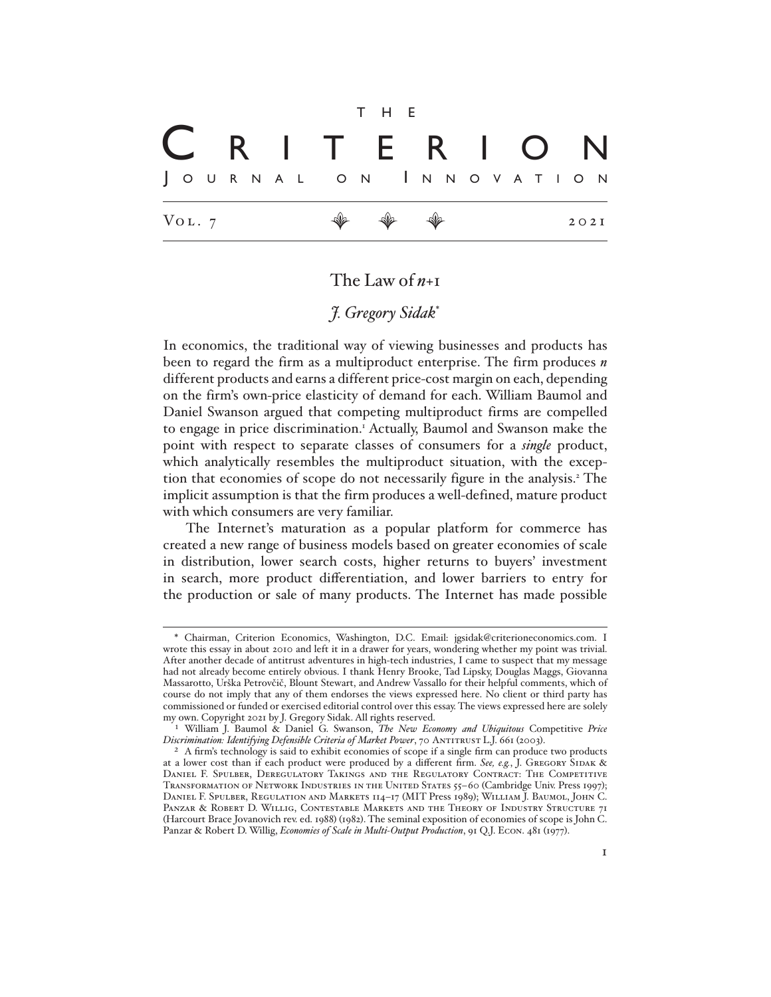## VOL. 7  $\mathcal{P}$   $\mathcal{P}$   $\mathcal{P}$  2021 t h e J o u r n a l o n I n n o v a t <sup>i</sup> o n C R I T E R I O N

## The Law of *n*+1

## *J. Gregory Sidak*\*

In economics, the traditional way of viewing businesses and products has been to regard the firm as a multiproduct enterprise. The firm produces *n* different products and earns a different price-cost margin on each, depending on the firm's own-price elasticity of demand for each. William Baumol and Daniel Swanson argued that competing multiproduct firms are compelled to engage in price discrimination.<sup>1</sup> Actually, Baumol and Swanson make the point with respect to separate classes of consumers for a *single* product, which analytically resembles the multiproduct situation, with the exception that economies of scope do not necessarily figure in the analysis.<sup>2</sup> The implicit assumption is that the firm produces a well-defined, mature product with which consumers are very familiar.

The Internet's maturation as a popular platform for commerce has created a new range of business models based on greater economies of scale in distribution, lower search costs, higher returns to buyers' investment in search, more product differentiation, and lower barriers to entry for the production or sale of many products. The Internet has made possible

<sup>\*</sup> Chairman, Criterion Economics, Washington, D.C. Email: jgsidak@criterioneconomics.com. I wrote this essay in about 2010 and left it in a drawer for years, wondering whether my point was trivial. After another decade of antitrust adventures in high-tech industries, I came to suspect that my message had not already become entirely obvious. I thank Henry Brooke, Tad Lipsky, Douglas Maggs, Giovanna Massarotto, Urška Petrovčič, Blount Stewart, and Andrew Vassallo for their helpful comments, which of course do not imply that any of them endorses the views expressed here. No client or third party has commissioned or funded or exercised editorial control over this essay. The views expressed here are solely my own. Copyright 2021 by J. Gregory Sidak. All rights reserved.

<sup>1</sup> William J. Baumol & Daniel G. Swanson, *The New Economy and Ubiquitous* Competitive *Price*  Discrimination: Identifying Defensible Criteria of Market Power, 70 ANTITRUST L.J. 661 (2003).

<sup>&</sup>lt;sup>2</sup> A firm's technology is said to exhibit economies of scope if a single firm can produce two products at a lower cost than if each product were produced by a different firm. See, e.g., J. GREGORY SIDAK & Daniel F. Spulber, Deregulatory Takings and the Regulatory Contract: The Competitive Transformation of Network Industries in the United States 55–60 (Cambridge Univ. Press 1997); Daniel F. Spulber, Regulation and Markets 114–17 (MIT Press 1989); William J. Baumol, John C. Panzar & Robert D. Willig, Contestable Markets and the Theory of Industry Structure 71 (Harcourt Brace Jovanovich rev. ed. 1988) (1982). The seminal exposition of economies of scope is John C. Panzar & Robert D. Willig, *Economies of Scale in Multi-Output Production*, 91 Q.J. Econ. 481 (1977).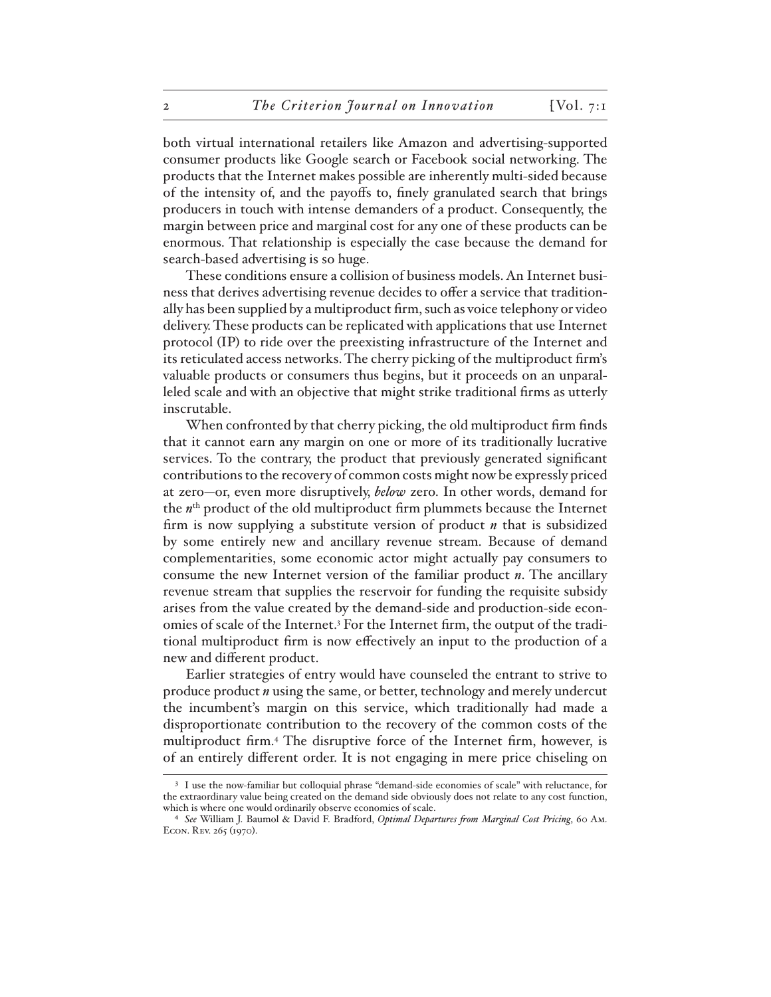both virtual international retailers like Amazon and advertising-supported consumer products like Google search or Facebook social networking. The products that the Internet makes possible are inherently multi-sided because of the intensity of, and the payoffs to, finely granulated search that brings producers in touch with intense demanders of a product. Consequently, the margin between price and marginal cost for any one of these products can be enormous. That relationship is especially the case because the demand for search-based advertising is so huge.

These conditions ensure a collision of business models. An Internet business that derives advertising revenue decides to offer a service that traditionally has been supplied by a multiproduct firm, such as voice telephony or video delivery. These products can be replicated with applications that use Internet protocol (IP) to ride over the preexisting infrastructure of the Internet and its reticulated access networks. The cherry picking of the multiproduct firm's valuable products or consumers thus begins, but it proceeds on an unparalleled scale and with an objective that might strike traditional firms as utterly inscrutable.

When confronted by that cherry picking, the old multiproduct firm finds that it cannot earn any margin on one or more of its traditionally lucrative services. To the contrary, the product that previously generated significant contributions to the recovery of common costs might now be expressly priced at zero—or, even more disruptively, *below* zero. In other words, demand for the *n*th product of the old multiproduct firm plummets because the Internet firm is now supplying a substitute version of product *n* that is subsidized by some entirely new and ancillary revenue stream. Because of demand complementarities, some economic actor might actually pay consumers to consume the new Internet version of the familiar product *n*. The ancillary revenue stream that supplies the reservoir for funding the requisite subsidy arises from the value created by the demand-side and production-side economies of scale of the Internet.<sup>3</sup> For the Internet firm, the output of the traditional multiproduct firm is now effectively an input to the production of a new and different product.

Earlier strategies of entry would have counseled the entrant to strive to produce product *n* using the same, or better, technology and merely undercut the incumbent's margin on this service, which traditionally had made a disproportionate contribution to the recovery of the common costs of the multiproduct firm.4 The disruptive force of the Internet firm, however, is of an entirely different order. It is not engaging in mere price chiseling on

<sup>3</sup> I use the now-familiar but colloquial phrase "demand-side economies of scale" with reluctance, for the extraordinary value being created on the demand side obviously does not relate to any cost function, which is where one would ordinarily observe economies of scale.

<sup>4</sup> *See* William J. Baumol & David F. Bradford, *Optimal Departures from Marginal Cost Pricing*, 60 Am. Econ. Rev. 265 (1970).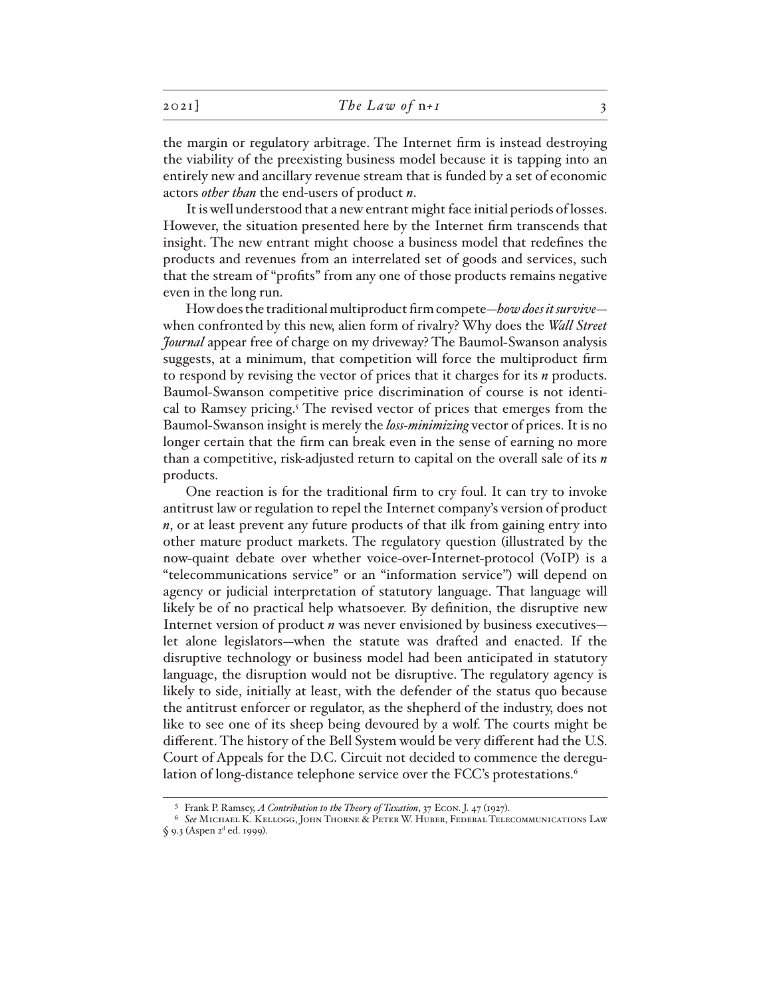| 202I | The Law of $n+1$ |  |
|------|------------------|--|
|------|------------------|--|

the margin or regulatory arbitrage. The Internet firm is instead destroying the viability of the preexisting business model because it is tapping into an entirely new and ancillary revenue stream that is funded by a set of economic actors *other than* the end-users of product *n*.

It is well understood that a new entrant might face initial periods of losses. However, the situation presented here by the Internet firm transcends that insight. The new entrant might choose a business model that redefines the products and revenues from an interrelated set of goods and services, such that the stream of "profits" from any one of those products remains negative even in the long run.

How does the traditional multiproduct firm compete—*how does it survive* when confronted by this new, alien form of rivalry? Why does the *Wall Street Journal* appear free of charge on my driveway? The Baumol-Swanson analysis suggests, at a minimum, that competition will force the multiproduct firm to respond by revising the vector of prices that it charges for its *n* products. Baumol-Swanson competitive price discrimination of course is not identical to Ramsey pricing.<sup>5</sup> The revised vector of prices that emerges from the Baumol-Swanson insight is merely the *loss-minimizing* vector of prices. It is no longer certain that the firm can break even in the sense of earning no more than a competitive, risk-adjusted return to capital on the overall sale of its *n*  products.

One reaction is for the traditional firm to cry foul. It can try to invoke antitrust law or regulation to repel the Internet company's version of product *n*, or at least prevent any future products of that ilk from gaining entry into other mature product markets. The regulatory question (illustrated by the now-quaint debate over whether voice-over-Internet-protocol (VoIP) is a "telecommunications service" or an "information service") will depend on agency or judicial interpretation of statutory language. That language will likely be of no practical help whatsoever. By definition, the disruptive new Internet version of product *n* was never envisioned by business executives let alone legislators—when the statute was drafted and enacted. If the disruptive technology or business model had been anticipated in statutory language, the disruption would not be disruptive. The regulatory agency is likely to side, initially at least, with the defender of the status quo because the antitrust enforcer or regulator, as the shepherd of the industry, does not like to see one of its sheep being devoured by a wolf. The courts might be different. The history of the Bell System would be very different had the U.S. Court of Appeals for the D.C. Circuit not decided to commence the deregulation of long-distance telephone service over the FCC's protestations.<sup>6</sup>

<sup>5</sup> Frank P. Ramsey, *A Contribution to the Theory of Taxation*, 37 Econ. J. 47 (1927).

<sup>6</sup> *See* Michael K. Kellogg, John Thorne & Peter W. Huber, Federal Telecommunications Law § 9.3 (Aspen 2<sup>d</sup> ed. 1999).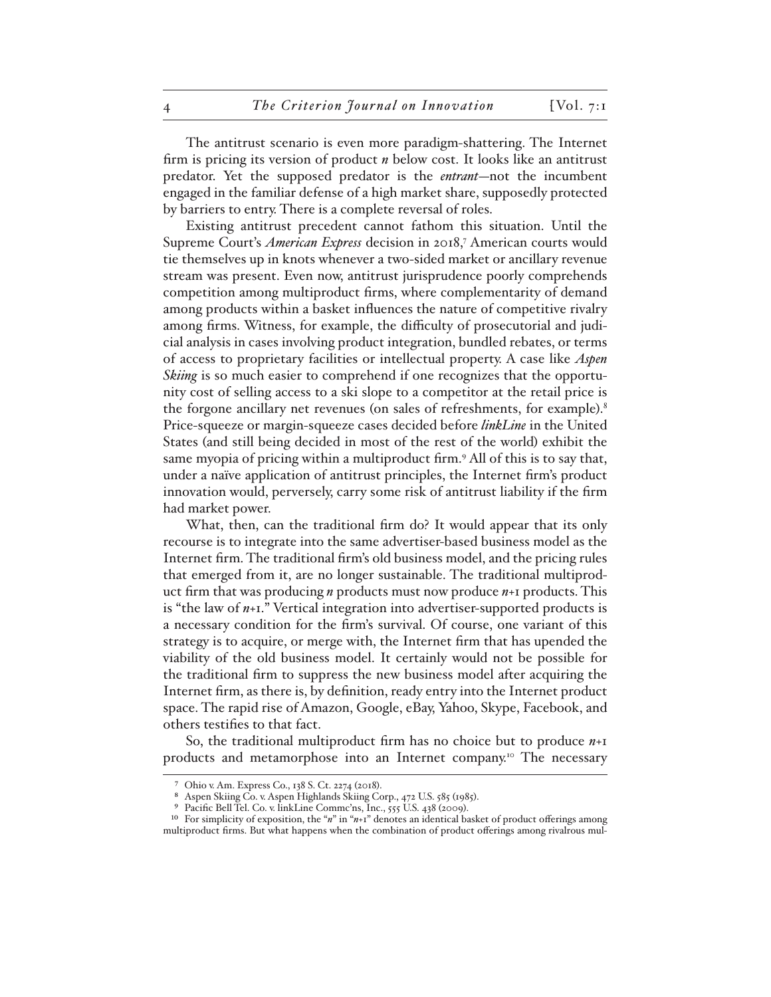The antitrust scenario is even more paradigm-shattering. The Internet firm is pricing its version of product *n* below cost. It looks like an antitrust predator. Yet the supposed predator is the *entrant*—not the incumbent engaged in the familiar defense of a high market share, supposedly protected by barriers to entry. There is a complete reversal of roles.

Existing antitrust precedent cannot fathom this situation. Until the Supreme Court's *American Express* decision in 2018,7 American courts would tie themselves up in knots whenever a two-sided market or ancillary revenue stream was present. Even now, antitrust jurisprudence poorly comprehends competition among multiproduct firms, where complementarity of demand among products within a basket influences the nature of competitive rivalry among firms. Witness, for example, the difficulty of prosecutorial and judicial analysis in cases involving product integration, bundled rebates, or terms of access to proprietary facilities or intellectual property. A case like *Aspen Skiing* is so much easier to comprehend if one recognizes that the opportunity cost of selling access to a ski slope to a competitor at the retail price is the forgone ancillary net revenues (on sales of refreshments, for example).<sup>8</sup> Price-squeeze or margin-squeeze cases decided before *linkLine* in the United States (and still being decided in most of the rest of the world) exhibit the same myopia of pricing within a multiproduct firm.<sup>9</sup> All of this is to say that, under a naïve application of antitrust principles, the Internet firm's product innovation would, perversely, carry some risk of antitrust liability if the firm had market power.

What, then, can the traditional firm do? It would appear that its only recourse is to integrate into the same advertiser-based business model as the Internet firm. The traditional firm's old business model, and the pricing rules that emerged from it, are no longer sustainable. The traditional multiproduct firm that was producing *n* products must now produce *n*+1 products. This is "the law of *n*+1." Vertical integration into advertiser-supported products is a necessary condition for the firm's survival. Of course, one variant of this strategy is to acquire, or merge with, the Internet firm that has upended the viability of the old business model. It certainly would not be possible for the traditional firm to suppress the new business model after acquiring the Internet firm, as there is, by definition, ready entry into the Internet product space. The rapid rise of Amazon, Google, eBay, Yahoo, Skype, Facebook, and others testifies to that fact.

So, the traditional multiproduct firm has no choice but to produce *n*+1 products and metamorphose into an Internet company.10 The necessary

<sup>7</sup> Ohio v. Am. Express Co., 138 S. Ct. 2274 (2018).

Aspen Skiing Co. v. Aspen Highlands Skiing Corp., 472 U.S. 585 (1985).

<sup>&</sup>lt;sup>9</sup> Pacific Bell Tel. Co. v. linkLine Commc'ns, Inc., 555 U.S. 438 (2009).

<sup>10</sup> For simplicity of exposition, the "*n*" in "*n*+1" denotes an identical basket of product offerings among multiproduct firms. But what happens when the combination of product offerings among rivalrous mul-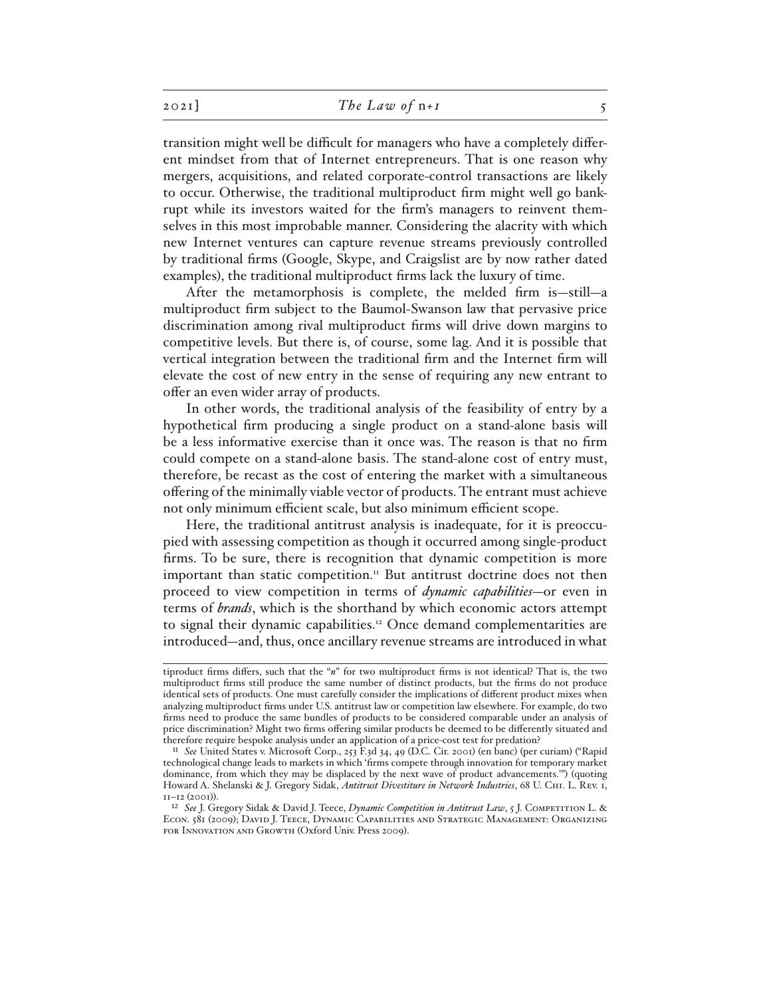transition might well be difficult for managers who have a completely different mindset from that of Internet entrepreneurs. That is one reason why mergers, acquisitions, and related corporate-control transactions are likely to occur. Otherwise, the traditional multiproduct firm might well go bankrupt while its investors waited for the firm's managers to reinvent themselves in this most improbable manner. Considering the alacrity with which new Internet ventures can capture revenue streams previously controlled by traditional firms (Google, Skype, and Craigslist are by now rather dated examples), the traditional multiproduct firms lack the luxury of time.

After the metamorphosis is complete, the melded firm is—still—a multiproduct firm subject to the Baumol-Swanson law that pervasive price discrimination among rival multiproduct firms will drive down margins to competitive levels. But there is, of course, some lag. And it is possible that vertical integration between the traditional firm and the Internet firm will elevate the cost of new entry in the sense of requiring any new entrant to offer an even wider array of products.

In other words, the traditional analysis of the feasibility of entry by a hypothetical firm producing a single product on a stand-alone basis will be a less informative exercise than it once was. The reason is that no firm could compete on a stand-alone basis. The stand-alone cost of entry must, therefore, be recast as the cost of entering the market with a simultaneous offering of the minimally viable vector of products. The entrant must achieve not only minimum efficient scale, but also minimum efficient scope.

Here, the traditional antitrust analysis is inadequate, for it is preoccupied with assessing competition as though it occurred among single-product firms. To be sure, there is recognition that dynamic competition is more important than static competition.<sup>11</sup> But antitrust doctrine does not then proceed to view competition in terms of *dynamic capabilities*—or even in terms of *brands*, which is the shorthand by which economic actors attempt to signal their dynamic capabilities.<sup>12</sup> Once demand complementarities are introduced—and, thus, once ancillary revenue streams are introduced in what

tiproduct firms differs, such that the "*n*" for two multiproduct firms is not identical? That is, the two multiproduct firms still produce the same number of distinct products, but the firms do not produce identical sets of products. One must carefully consider the implications of different product mixes when analyzing multiproduct firms under U.S. antitrust law or competition law elsewhere. For example, do two firms need to produce the same bundles of products to be considered comparable under an analysis of price discrimination? Might two firms offering similar products be deemed to be differently situated and therefore require bespoke analysis under an application of a price-cost test for predation?

<sup>11</sup> *See* United States v. Microsoft Corp., 253 F.3d 34, 49 (D.C. Cir. 2001) (en banc) (per curiam) ("Rapid technological change leads to markets in which 'firms compete through innovation for temporary market dominance, from which they may be displaced by the next wave of product advancements.'") (quoting Howard A. Shelanski & J. Gregory Sidak, *Antitrust Divestiture in Network Industries*, 68 U. Chi. L. Rev. 1, 11–12 (2001)).

<sup>12</sup> *See* J. Gregory Sidak & David J. Teece, *Dynamic Competition in Antitrust Law*, 5 J. Competition L. & Econ. 581 (2009); David J. Teece, Dynamic Capabilities and Strategic Management: Organizing for Innovation and Growth (Oxford Univ. Press 2009).